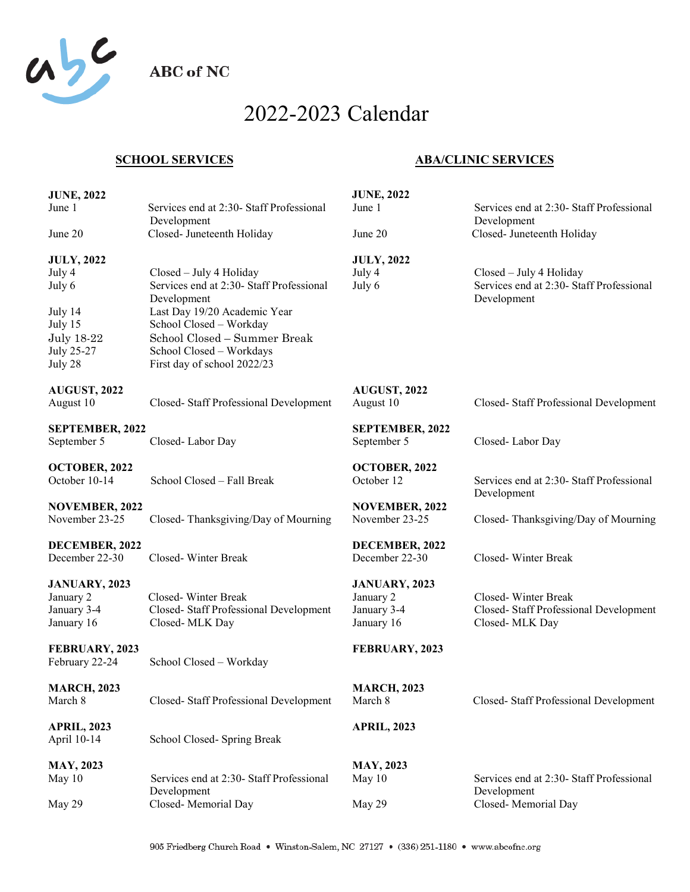

**ABC** of NC

## 2022-2023 Calendar

## **SCHOOL SERVICES**

## **ABA/CLINIC SERVICES**

| <b>JUNE, 2022</b>     |                                                         | <b>JUNE, 2022</b>      |                                                         |
|-----------------------|---------------------------------------------------------|------------------------|---------------------------------------------------------|
| June 1                | Services end at 2:30- Staff Professional<br>Development | June 1                 | Services end at 2:30- Staff Professional<br>Development |
| June 20               | Closed- Juneteenth Holiday                              | June 20                | Closed- Juneteenth Holiday                              |
| <b>JULY, 2022</b>     |                                                         | <b>JULY, 2022</b>      |                                                         |
| July 4                | Closed - July 4 Holiday                                 | July 4                 | Closed - July 4 Holiday                                 |
| July 6                | Services end at 2:30- Staff Professional<br>Development | July 6                 | Services end at 2:30- Staff Professional<br>Development |
| July 14               | Last Day 19/20 Academic Year                            |                        |                                                         |
| July 15               | School Closed - Workday                                 |                        |                                                         |
| <b>July 18-22</b>     | School Closed - Summer Break                            |                        |                                                         |
| July 25-27            | School Closed - Workdays                                |                        |                                                         |
| July 28               | First day of school 2022/23                             |                        |                                                         |
| <b>AUGUST, 2022</b>   |                                                         | <b>AUGUST, 2022</b>    |                                                         |
| August 10             | Closed-Staff Professional Development                   | August 10              | Closed-Staff Professional Development                   |
| SEPTEMBER, 2022       |                                                         | <b>SEPTEMBER, 2022</b> |                                                         |
| September 5           | Closed-Labor Day                                        | September 5            | Closed-Labor Day                                        |
| OCTOBER, 2022         |                                                         | OCTOBER, 2022          |                                                         |
| October 10-14         | School Closed - Fall Break                              | October 12             | Services end at 2:30- Staff Professional                |
|                       |                                                         |                        | Development                                             |
| <b>NOVEMBER, 2022</b> |                                                         | <b>NOVEMBER, 2022</b>  |                                                         |
| November 23-25        | Closed-Thanksgiving/Day of Mourning                     | November 23-25         | Closed-Thanksgiving/Day of Mourning                     |
| DECEMBER, 2022        |                                                         | DECEMBER, 2022         |                                                         |
| December 22-30        | Closed-Winter Break                                     | December 22-30         | Closed-Winter Break                                     |
| <b>JANUARY, 2023</b>  |                                                         | <b>JANUARY, 2023</b>   |                                                         |
| January 2             | Closed-Winter Break                                     | January 2              | Closed-Winter Break                                     |
| January 3-4           | Closed-Staff Professional Development                   | January 3-4            | Closed-Staff Professional Development                   |
| January 16            | Closed-MLK Day                                          | January 16             | Closed-MLK Day                                          |
| FEBRUARY, 2023        |                                                         | FEBRUARY, 2023         |                                                         |
| February 22-24        | School Closed - Workday                                 |                        |                                                         |
| <b>MARCH, 2023</b>    |                                                         | <b>MARCH, 2023</b>     |                                                         |
| March 8               | Closed- Staff Professional Development                  | March 8                | Closed-Staff Professional Development                   |
|                       |                                                         |                        |                                                         |
| <b>APRIL, 2023</b>    |                                                         | <b>APRIL, 2023</b>     |                                                         |
| April 10-14           | School Closed- Spring Break                             |                        |                                                         |
| <b>MAY, 2023</b>      |                                                         | <b>MAY, 2023</b>       |                                                         |
| May 10                | Services end at 2:30- Staff Professional                | May 10                 | Services end at 2:30- Staff Professional                |
| May 29                | Development<br>Closed-Memorial Day                      | May 29                 | Development<br>Closed-Memorial Day                      |
|                       |                                                         |                        |                                                         |